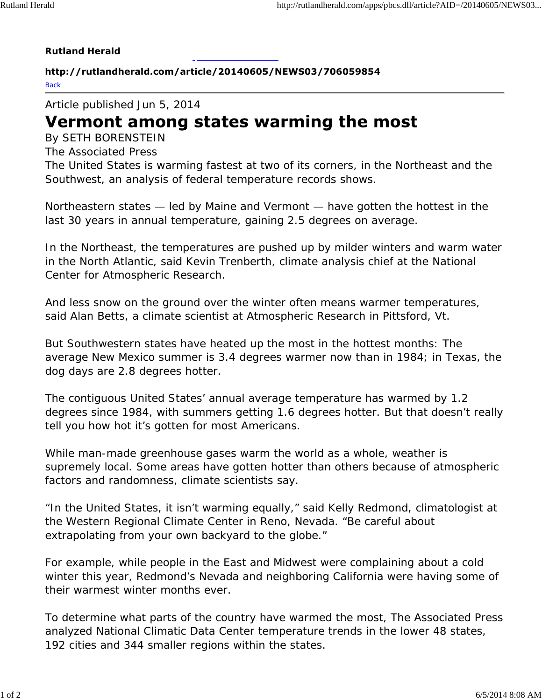## **Rutland Herald**

**http://rutlandherald.com/article/20140605/NEWS03/706059854 Back** 

Article published Jun 5, 2014

## Vermont among states warming the most

By SETH BORENSTEIN

The Associated Press

The United States is warming fastest at two of its corners, in the Northeast and the Southwest, an analysis of federal temperature records shows.

Northeastern states — led by Maine and Vermont — have gotten the hottest in the last 30 years in annual temperature, gaining 2.5 degrees on average.

In the Northeast, the temperatures are pushed up by milder winters and warm water in the North Atlantic, said Kevin Trenberth, climate analysis chief at the National Center for Atmospheric Research.

And less snow on the ground over the winter often means warmer temperatures, said Alan Betts, a climate scientist at Atmospheric Research in Pittsford, Vt.

But Southwestern states have heated up the most in the hottest months: The average New Mexico summer is 3.4 degrees warmer now than in 1984; in Texas, the dog days are 2.8 degrees hotter.

The contiguous United States' annual average temperature has warmed by 1.2 degrees since 1984, with summers getting 1.6 degrees hotter. But that doesn't really tell you how hot it's gotten for most Americans.

While man-made greenhouse gases warm the world as a whole, weather is supremely local. Some areas have gotten hotter than others because of atmospheric factors and randomness, climate scientists say.

"In the United States, it isn't warming equally," said Kelly Redmond, climatologist at the Western Regional Climate Center in Reno, Nevada. "Be careful about extrapolating from your own backyard to the globe."

For example, while people in the East and Midwest were complaining about a cold winter this year, Redmond's Nevada and neighboring California were having some of their warmest winter months ever.

To determine what parts of the country have warmed the most, The Associated Press analyzed National Climatic Data Center temperature trends in the lower 48 states, 192 cities and 344 smaller regions within the states.